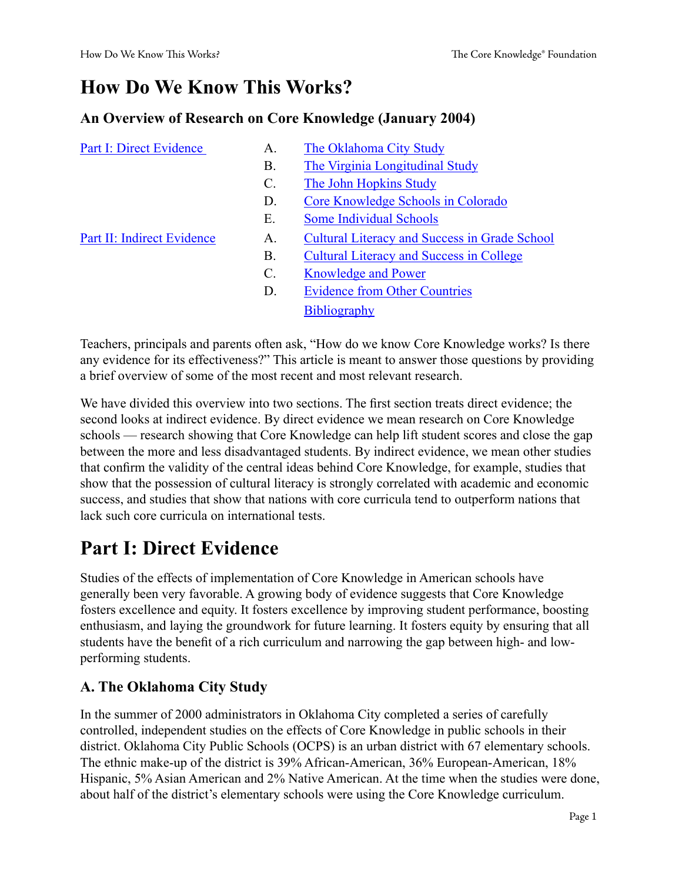## **How Do We Know This Works?**

#### **An Overview of Research on Core Knowledge (January 2004)**

| <b>Part I: Direct Evidence</b> | A.              | The Oklahoma City Study                              |  |
|--------------------------------|-----------------|------------------------------------------------------|--|
|                                | <b>B.</b>       | The Virginia Longitudinal Study                      |  |
|                                | $\mathcal{C}$ . | The John Hopkins Study                               |  |
|                                | D.              | Core Knowledge Schools in Colorado                   |  |
|                                | Ε.              | <b>Some Individual Schools</b>                       |  |
| Part II: Indirect Evidence     | A.              | <b>Cultural Literacy and Success in Grade School</b> |  |
|                                | Β.              | <b>Cultural Literacy and Success in College</b>      |  |
|                                | $\mathcal{C}$ . | <b>Knowledge and Power</b>                           |  |
|                                | D.              | <b>Evidence from Other Countries</b>                 |  |
|                                |                 | <b>Bibliography</b>                                  |  |
|                                |                 |                                                      |  |

Teachers, principals and parents often ask, "How do we know Core Knowledge works? Is there any evidence for its effectiveness?" This article is meant to answer those questions by providing a brief overview of some of the most recent and most relevant research.

We have divided this overview into two sections. The first section treats direct evidence; the second looks at indirect evidence. By direct evidence we mean research on Core Knowledge schools — research showing that Core Knowledge can help lift student scores and close the gap between the more and less disadvantaged students. By indirect evidence, we mean other studies that confirm the validity of the central ideas behind Core Knowledge, for example, studies that show that the possession of cultural literacy is strongly correlated with academic and economic success, and studies that show that nations with core curricula tend to outperform nations that lack such core curricula on international tests.

# <span id="page-0-0"></span>**Part I: Direct Evidence**

Studies of the effects of implementation of Core Knowledge in American schools have generally been very favorable. A growing body of evidence suggests that Core Knowledge fosters excellence and equity. It fosters excellence by improving student performance, boosting enthusiasm, and laying the groundwork for future learning. It fosters equity by ensuring that all students have the benefit of a rich curriculum and narrowing the gap between high- and lowperforming students.

## <span id="page-0-1"></span>**A. The Oklahoma City Study**

In the summer of 2000 administrators in Oklahoma City completed a series of carefully controlled, independent studies on the effects of Core Knowledge in public schools in their district. Oklahoma City Public Schools (OCPS) is an urban district with 67 elementary schools. The ethnic make-up of the district is 39% African-American, 36% European-American, 18% Hispanic, 5% Asian American and 2% Native American. At the time when the studies were done, about half of the district's elementary schools were using the Core Knowledge curriculum.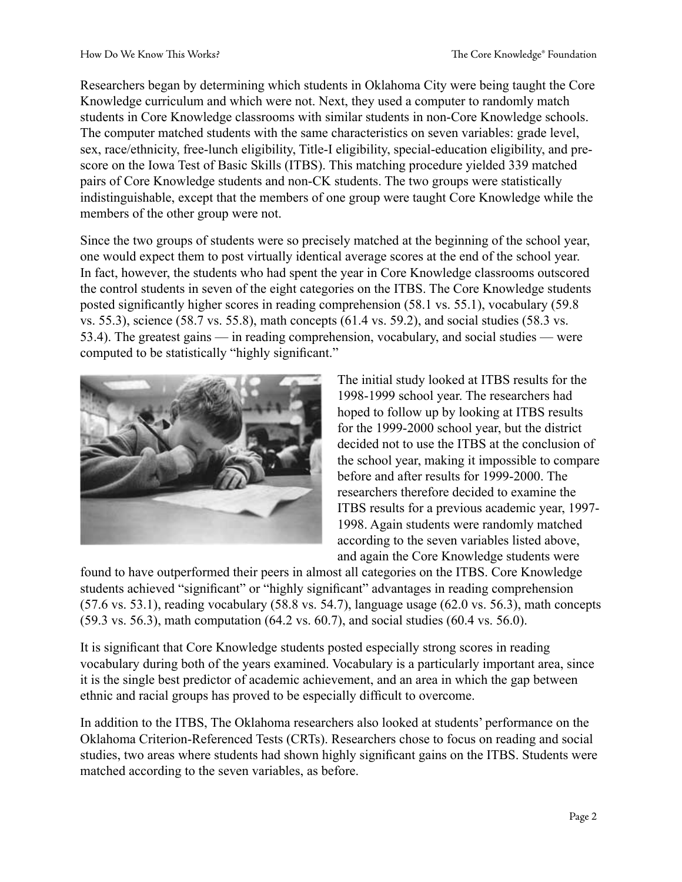Researchers began by determining which students in Oklahoma City were being taught the Core Knowledge curriculum and which were not. Next, they used a computer to randomly match students in Core Knowledge classrooms with similar students in non-Core Knowledge schools. The computer matched students with the same characteristics on seven variables: grade level, sex, race/ethnicity, free-lunch eligibility, Title-I eligibility, special-education eligibility, and prescore on the Iowa Test of Basic Skills (ITBS). This matching procedure yielded 339 matched pairs of Core Knowledge students and non-CK students. The two groups were statistically indistinguishable, except that the members of one group were taught Core Knowledge while the members of the other group were not.

Since the two groups of students were so precisely matched at the beginning of the school year, one would expect them to post virtually identical average scores at the end of the school year. In fact, however, the students who had spent the year in Core Knowledge classrooms outscored the control students in seven of the eight categories on the ITBS. The Core Knowledge students posted significantly higher scores in reading comprehension (58.1 vs. 55.1), vocabulary (59.8 vs. 55.3), science (58.7 vs. 55.8), math concepts (61.4 vs. 59.2), and social studies (58.3 vs. 53.4). The greatest gains — in reading comprehension, vocabulary, and social studies — were computed to be statistically "highly significant."



The initial study looked at ITBS results for the 1998-1999 school year. The researchers had hoped to follow up by looking at ITBS results for the 1999-2000 school year, but the district decided not to use the ITBS at the conclusion of the school year, making it impossible to compare before and after results for 1999-2000. The researchers therefore decided to examine the ITBS results for a previous academic year, 1997- 1998. Again students were randomly matched according to the seven variables listed above, and again the Core Knowledge students were

found to have outperformed their peers in almost all categories on the ITBS. Core Knowledge students achieved "significant" or "highly significant" advantages in reading comprehension (57.6 vs. 53.1), reading vocabulary (58.8 vs. 54.7), language usage (62.0 vs. 56.3), math concepts (59.3 vs. 56.3), math computation (64.2 vs. 60.7), and social studies (60.4 vs. 56.0).

It is significant that Core Knowledge students posted especially strong scores in reading vocabulary during both of the years examined. Vocabulary is a particularly important area, since it is the single best predictor of academic achievement, and an area in which the gap between ethnic and racial groups has proved to be especially difficult to overcome.

In addition to the ITBS, The Oklahoma researchers also looked at students' performance on the Oklahoma Criterion-Referenced Tests (CRTs). Researchers chose to focus on reading and social studies, two areas where students had shown highly significant gains on the ITBS. Students were matched according to the seven variables, as before.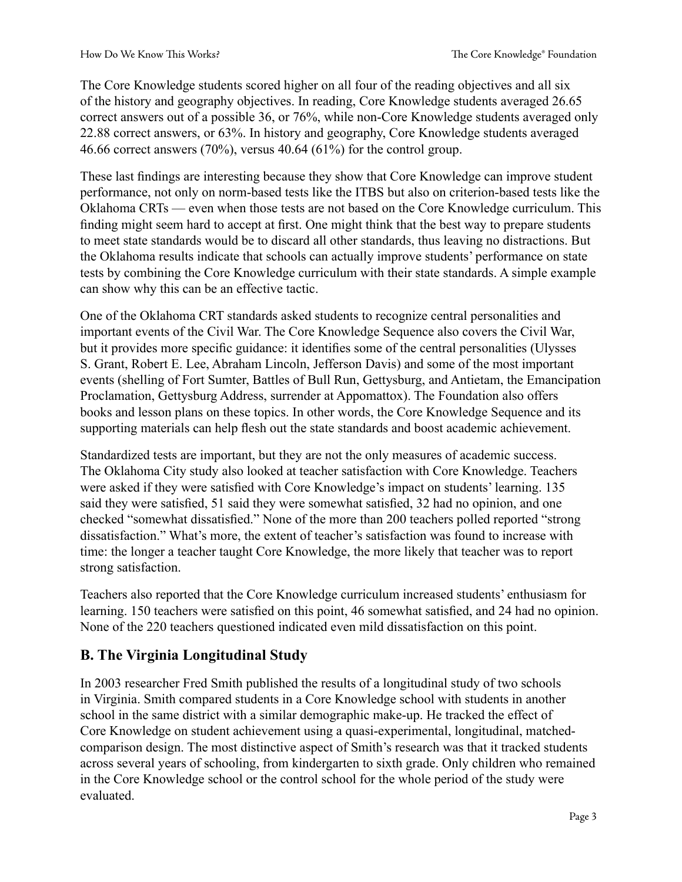The Core Knowledge students scored higher on all four of the reading objectives and all six of the history and geography objectives. In reading, Core Knowledge students averaged 26.65 correct answers out of a possible 36, or 76%, while non-Core Knowledge students averaged only 22.88 correct answers, or 63%. In history and geography, Core Knowledge students averaged 46.66 correct answers (70%), versus 40.64 (61%) for the control group.

These last findings are interesting because they show that Core Knowledge can improve student performance, not only on norm-based tests like the ITBS but also on criterion-based tests like the Oklahoma CRTs — even when those tests are not based on the Core Knowledge curriculum. This finding might seem hard to accept at first. One might think that the best way to prepare students to meet state standards would be to discard all other standards, thus leaving no distractions. But the Oklahoma results indicate that schools can actually improve students' performance on state tests by combining the Core Knowledge curriculum with their state standards. A simple example can show why this can be an effective tactic.

One of the Oklahoma CRT standards asked students to recognize central personalities and important events of the Civil War. The Core Knowledge Sequence also covers the Civil War, but it provides more specific guidance: it identifies some of the central personalities (Ulysses S. Grant, Robert E. Lee, Abraham Lincoln, Jefferson Davis) and some of the most important events (shelling of Fort Sumter, Battles of Bull Run, Gettysburg, and Antietam, the Emancipation Proclamation, Gettysburg Address, surrender at Appomattox). The Foundation also offers books and lesson plans on these topics. In other words, the Core Knowledge Sequence and its supporting materials can help flesh out the state standards and boost academic achievement.

Standardized tests are important, but they are not the only measures of academic success. The Oklahoma City study also looked at teacher satisfaction with Core Knowledge. Teachers were asked if they were satisfied with Core Knowledge's impact on students' learning. 135 said they were satisfied, 51 said they were somewhat satisfied, 32 had no opinion, and one checked "somewhat dissatisfied." None of the more than 200 teachers polled reported "strong dissatisfaction." What's more, the extent of teacher's satisfaction was found to increase with time: the longer a teacher taught Core Knowledge, the more likely that teacher was to report strong satisfaction.

Teachers also reported that the Core Knowledge curriculum increased students' enthusiasm for learning. 150 teachers were satisfied on this point, 46 somewhat satisfied, and 24 had no opinion. None of the 220 teachers questioned indicated even mild dissatisfaction on this point.

## <span id="page-2-0"></span>**B. The Virginia Longitudinal Study**

In 2003 researcher Fred Smith published the results of a longitudinal study of two schools in Virginia. Smith compared students in a Core Knowledge school with students in another school in the same district with a similar demographic make-up. He tracked the effect of Core Knowledge on student achievement using a quasi-experimental, longitudinal, matchedcomparison design. The most distinctive aspect of Smith's research was that it tracked students across several years of schooling, from kindergarten to sixth grade. Only children who remained in the Core Knowledge school or the control school for the whole period of the study were evaluated.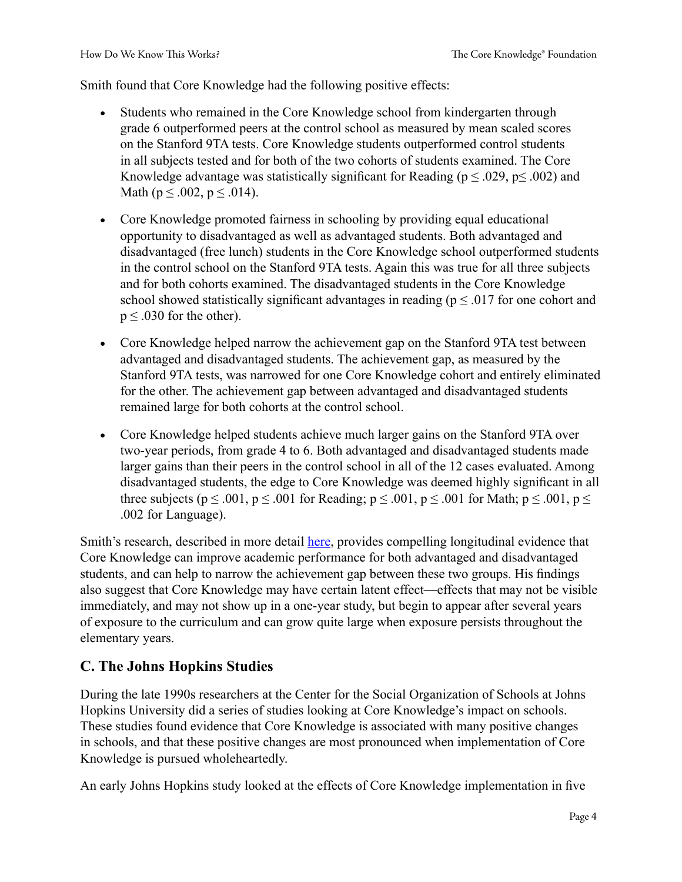Smith found that Core Knowledge had the following positive effects:

- Students who remained in the Core Knowledge school from kindergarten through grade 6 outperformed peers at the control school as measured by mean scaled scores on the Stanford 9TA tests. Core Knowledge students outperformed control students in all subjects tested and for both of the two cohorts of students examined. The Core Knowledge advantage was statistically significant for Reading ( $p \le 0.029$ ,  $p \le 0.002$ ) and Math ( $p \le 0.002$ ,  $p \le 0.014$ ).
- Core Knowledge promoted fairness in schooling by providing equal educational opportunity to disadvantaged as well as advantaged students. Both advantaged and disadvantaged (free lunch) students in the Core Knowledge school outperformed students in the control school on the Stanford 9TA tests. Again this was true for all three subjects and for both cohorts examined. The disadvantaged students in the Core Knowledge school showed statistically significant advantages in reading ( $p \leq .017$  for one cohort and  $p \leq 0.030$  for the other).
- Core Knowledge helped narrow the achievement gap on the Stanford 9TA test between advantaged and disadvantaged students. The achievement gap, as measured by the Stanford 9TA tests, was narrowed for one Core Knowledge cohort and entirely eliminated for the other. The achievement gap between advantaged and disadvantaged students remained large for both cohorts at the control school.
- Core Knowledge helped students achieve much larger gains on the Stanford 9TA over two-year periods, from grade 4 to 6. Both advantaged and disadvantaged students made larger gains than their peers in the control school in all of the 12 cases evaluated. Among disadvantaged students, the edge to Core Knowledge was deemed highly significant in all three subjects ( $p \le 0.001$ ,  $p \le 0.001$  for Reading;  $p \le 0.001$ ,  $p \le 0.001$  for Math;  $p \le 0.01$ ,  $p \le 0.01$ .002 for Language).

Smith's research, described in more detail [here,](http://www.coreknowledge.org/CKproto2/about/CommonKnowledge/V17iDec2003Jan2004/vol17iDecJan_FSmith_diss.htm) provides compelling longitudinal evidence that Core Knowledge can improve academic performance for both advantaged and disadvantaged students, and can help to narrow the achievement gap between these two groups. His findings also suggest that Core Knowledge may have certain latent effect—effects that may not be visible immediately, and may not show up in a one-year study, but begin to appear after several years of exposure to the curriculum and can grow quite large when exposure persists throughout the elementary years.

## <span id="page-3-0"></span>**C. The Johns Hopkins Studies**

During the late 1990s researchers at the Center for the Social Organization of Schools at Johns Hopkins University did a series of studies looking at Core Knowledge's impact on schools. These studies found evidence that Core Knowledge is associated with many positive changes in schools, and that these positive changes are most pronounced when implementation of Core Knowledge is pursued wholeheartedly.

An early Johns Hopkins study looked at the effects of Core Knowledge implementation in five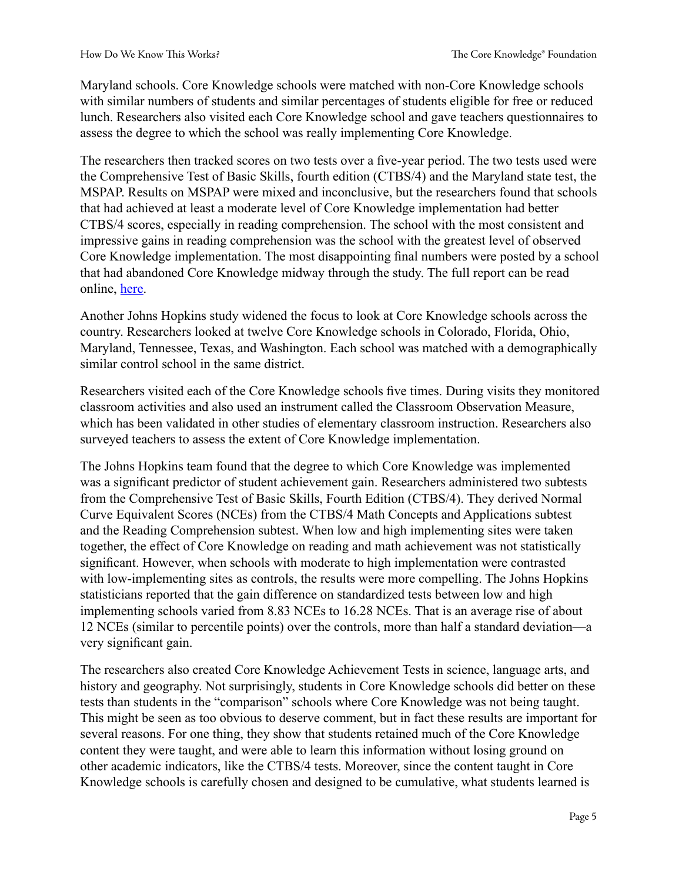Maryland schools. Core Knowledge schools were matched with non-Core Knowledge schools with similar numbers of students and similar percentages of students eligible for free or reduced lunch. Researchers also visited each Core Knowledge school and gave teachers questionnaires to assess the degree to which the school was really implementing Core Knowledge.

The researchers then tracked scores on two tests over a five-year period. The two tests used were the Comprehensive Test of Basic Skills, fourth edition (CTBS/4) and the Maryland state test, the MSPAP. Results on MSPAP were mixed and inconclusive, but the researchers found that schools that had achieved at least a moderate level of Core Knowledge implementation had better CTBS/4 scores, especially in reading comprehension. The school with the most consistent and impressive gains in reading comprehension was the school with the greatest level of observed Core Knowledge implementation. The most disappointing final numbers were posted by a school that had abandoned Core Knowledge midway through the study. The full report can be read online, [here.](http://www.csos.jhu.edu/crespar/techReports/Report50.pdf)

Another Johns Hopkins study widened the focus to look at Core Knowledge schools across the country. Researchers looked at twelve Core Knowledge schools in Colorado, Florida, Ohio, Maryland, Tennessee, Texas, and Washington. Each school was matched with a demographically similar control school in the same district.

Researchers visited each of the Core Knowledge schools five times. During visits they monitored classroom activities and also used an instrument called the Classroom Observation Measure, which has been validated in other studies of elementary classroom instruction. Researchers also surveyed teachers to assess the extent of Core Knowledge implementation.

The Johns Hopkins team found that the degree to which Core Knowledge was implemented was a significant predictor of student achievement gain. Researchers administered two subtests from the Comprehensive Test of Basic Skills, Fourth Edition (CTBS/4). They derived Normal Curve Equivalent Scores (NCEs) from the CTBS/4 Math Concepts and Applications subtest and the Reading Comprehension subtest. When low and high implementing sites were taken together, the effect of Core Knowledge on reading and math achievement was not statistically significant. However, when schools with moderate to high implementation were contrasted with low-implementing sites as controls, the results were more compelling. The Johns Hopkins statisticians reported that the gain difference on standardized tests between low and high implementing schools varied from 8.83 NCEs to 16.28 NCEs. That is an average rise of about 12 NCEs (similar to percentile points) over the controls, more than half a standard deviation—a very significant gain.

The researchers also created Core Knowledge Achievement Tests in science, language arts, and history and geography. Not surprisingly, students in Core Knowledge schools did better on these tests than students in the "comparison" schools where Core Knowledge was not being taught. This might be seen as too obvious to deserve comment, but in fact these results are important for several reasons. For one thing, they show that students retained much of the Core Knowledge content they were taught, and were able to learn this information without losing ground on other academic indicators, like the CTBS/4 tests. Moreover, since the content taught in Core Knowledge schools is carefully chosen and designed to be cumulative, what students learned is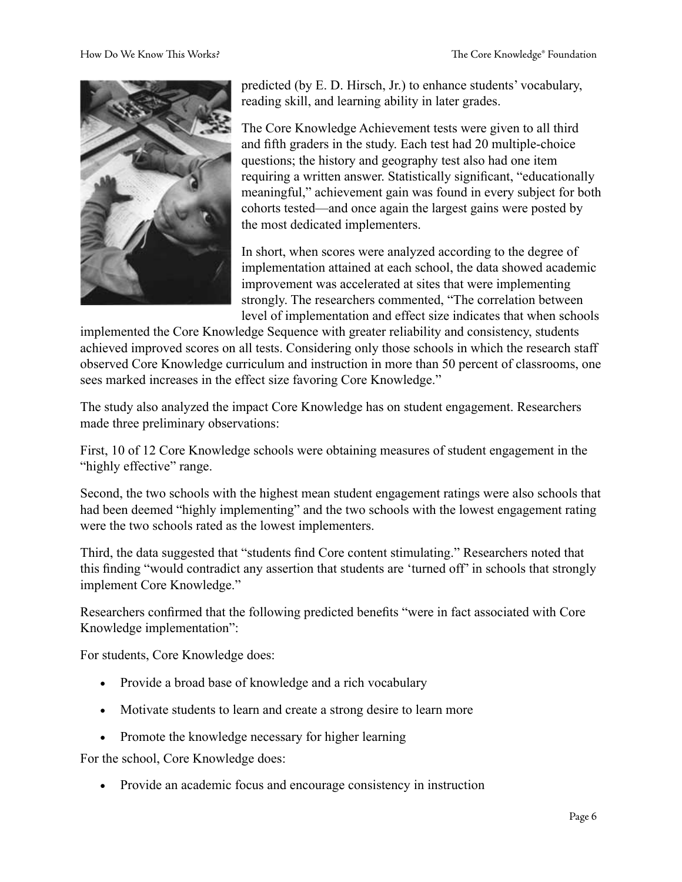

predicted (by E. D. Hirsch, Jr.) to enhance students' vocabulary, reading skill, and learning ability in later grades.

The Core Knowledge Achievement tests were given to all third and fifth graders in the study. Each test had 20 multiple-choice questions; the history and geography test also had one item requiring a written answer. Statistically significant, "educationally meaningful," achievement gain was found in every subject for both cohorts tested—and once again the largest gains were posted by the most dedicated implementers.

In short, when scores were analyzed according to the degree of implementation attained at each school, the data showed academic improvement was accelerated at sites that were implementing strongly. The researchers commented, "The correlation between level of implementation and effect size indicates that when schools

implemented the Core Knowledge Sequence with greater reliability and consistency, students achieved improved scores on all tests. Considering only those schools in which the research staff observed Core Knowledge curriculum and instruction in more than 50 percent of classrooms, one sees marked increases in the effect size favoring Core Knowledge."

The study also analyzed the impact Core Knowledge has on student engagement. Researchers made three preliminary observations:

First, 10 of 12 Core Knowledge schools were obtaining measures of student engagement in the "highly effective" range.

Second, the two schools with the highest mean student engagement ratings were also schools that had been deemed "highly implementing" and the two schools with the lowest engagement rating were the two schools rated as the lowest implementers.

Third, the data suggested that "students find Core content stimulating." Researchers noted that this finding "would contradict any assertion that students are 'turned off' in schools that strongly implement Core Knowledge."

Researchers confirmed that the following predicted benefits "were in fact associated with Core Knowledge implementation":

For students, Core Knowledge does:

- Provide a broad base of knowledge and a rich vocabulary
- Motivate students to learn and create a strong desire to learn more
- Promote the knowledge necessary for higher learning

For the school, Core Knowledge does:

• Provide an academic focus and encourage consistency in instruction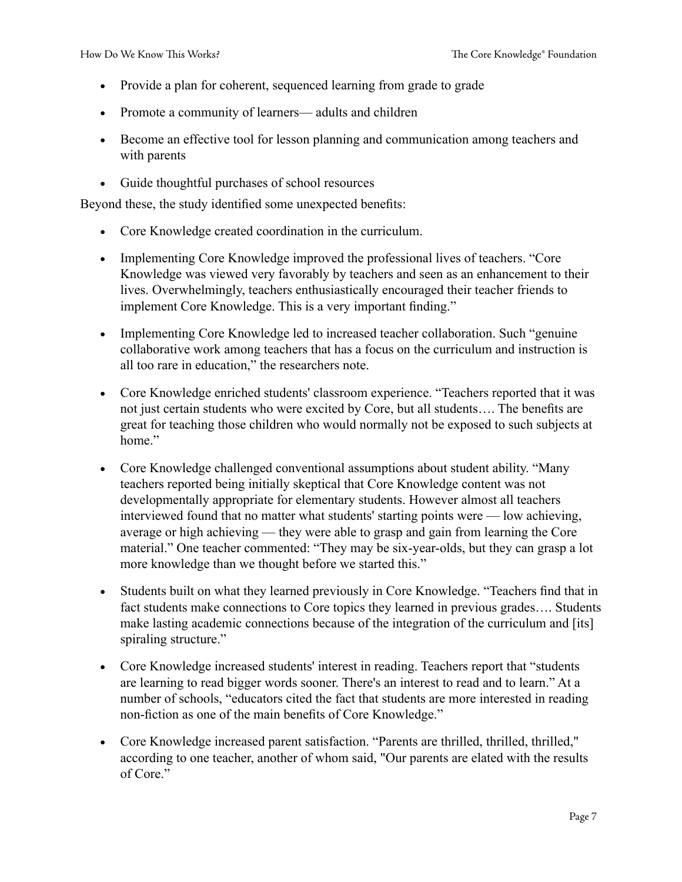- Provide a plan for coherent, sequenced learning from grade to grade
- Promote a community of learners— adults and children
- Become an effective tool for lesson planning and communication among teachers and with parents
- Guide thoughtful purchases of school resources

Beyond these, the study identified some unexpected benefits:

- Core Knowledge created coordination in the curriculum.
- Implementing Core Knowledge improved the professional lives of teachers. "Core Knowledge was viewed very favorably by teachers and seen as an enhancement to their lives. Overwhelmingly, teachers enthusiastically encouraged their teacher friends to implement Core Knowledge. This is a very important finding."
- Implementing Core Knowledge led to increased teacher collaboration. Such "genuine" collaborative work among teachers that has a focus on the curriculum and instruction is all too rare in education," the researchers note.
- Core Knowledge enriched students' classroom experience. "Teachers reported that it was not just certain students who were excited by Core, but all students…. The benefits are great for teaching those children who would normally not be exposed to such subjects at home."
- Core Knowledge challenged conventional assumptions about student ability. "Many teachers reported being initially skeptical that Core Knowledge content was not developmentally appropriate for elementary students. However almost all teachers interviewed found that no matter what students' starting points were — low achieving, average or high achieving — they were able to grasp and gain from learning the Core material." One teacher commented: "They may be six-year-olds, but they can grasp a lot more knowledge than we thought before we started this."
- Students built on what they learned previously in Core Knowledge. "Teachers find that in fact students make connections to Core topics they learned in previous grades…. Students make lasting academic connections because of the integration of the curriculum and [its] spiraling structure."
- Core Knowledge increased students' interest in reading. Teachers report that "students" are learning to read bigger words sooner. There's an interest to read and to learn." At a number of schools, "educators cited the fact that students are more interested in reading non-fiction as one of the main benefits of Core Knowledge."
- Core Knowledge increased parent satisfaction. "Parents are thrilled, thrilled, thrilled," according to one teacher, another of whom said, "Our parents are elated with the results of Core"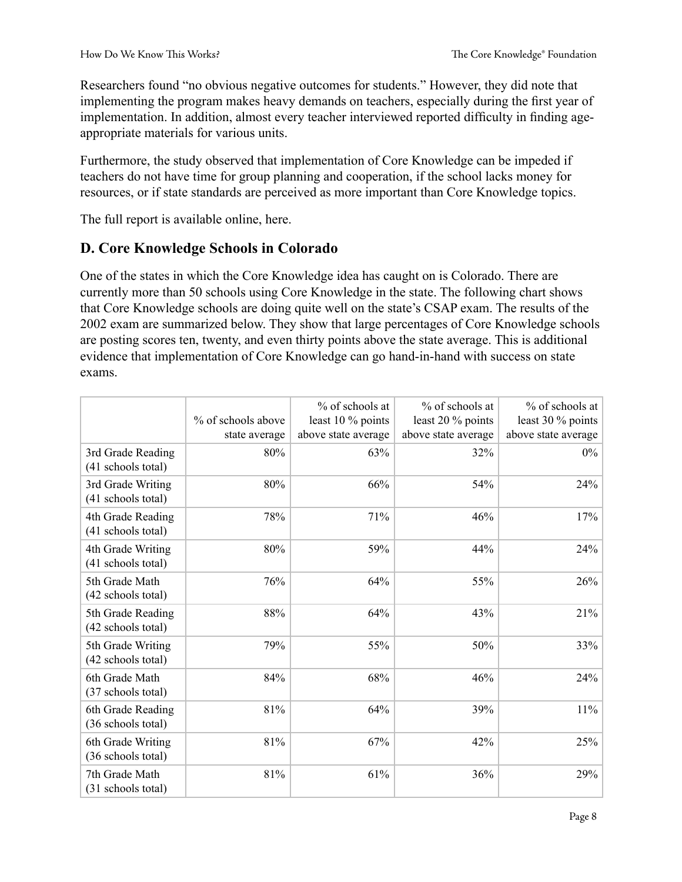Researchers found "no obvious negative outcomes for students." However, they did note that implementing the program makes heavy demands on teachers, especially during the first year of implementation. In addition, almost every teacher interviewed reported difficulty in finding ageappropriate materials for various units.

Furthermore, the study observed that implementation of Core Knowledge can be impeded if teachers do not have time for group planning and cooperation, if the school lacks money for resources, or if state standards are perceived as more important than Core Knowledge topics.

The full report is available online, here.

#### <span id="page-7-0"></span>**D. Core Knowledge Schools in Colorado**

One of the states in which the Core Knowledge idea has caught on is Colorado. There are currently more than 50 schools using Core Knowledge in the state. The following chart shows that Core Knowledge schools are doing quite well on the state's CSAP exam. The results of the 2002 exam are summarized below. They show that large percentages of Core Knowledge schools are posting scores ten, twenty, and even thirty points above the state average. This is additional evidence that implementation of Core Knowledge can go hand-in-hand with success on state exams.

|                                         | % of schools above   | % of schools at<br>least 10 % points | % of schools at<br>least 20 % points | % of schools at<br>least 30 % points |
|-----------------------------------------|----------------------|--------------------------------------|--------------------------------------|--------------------------------------|
| 3rd Grade Reading<br>(41 schools total) | state average<br>80% | above state average<br>63%           | above state average<br>32%           | above state average<br>$0\%$         |
| 3rd Grade Writing<br>(41 schools total) | 80%                  | 66%                                  | 54%                                  | 24%                                  |
| 4th Grade Reading<br>(41 schools total) | 78%                  | 71%                                  | 46%                                  | 17%                                  |
| 4th Grade Writing<br>(41 schools total) | 80%                  | 59%                                  | 44%                                  | 24%                                  |
| 5th Grade Math<br>(42 schools total)    | 76%                  | 64%                                  | 55%                                  | 26%                                  |
| 5th Grade Reading<br>(42 schools total) | 88%                  | 64%                                  | 43%                                  | 21%                                  |
| 5th Grade Writing<br>(42 schools total) | 79%                  | 55%                                  | 50%                                  | 33%                                  |
| 6th Grade Math<br>(37 schools total)    | 84%                  | 68%                                  | 46%                                  | 24%                                  |
| 6th Grade Reading<br>(36 schools total) | 81%                  | 64%                                  | 39%                                  | $11\%$                               |
| 6th Grade Writing<br>(36 schools total) | 81%                  | 67%                                  | 42%                                  | 25%                                  |
| 7th Grade Math<br>(31 schools total)    | 81%                  | 61%                                  | 36%                                  | 29%                                  |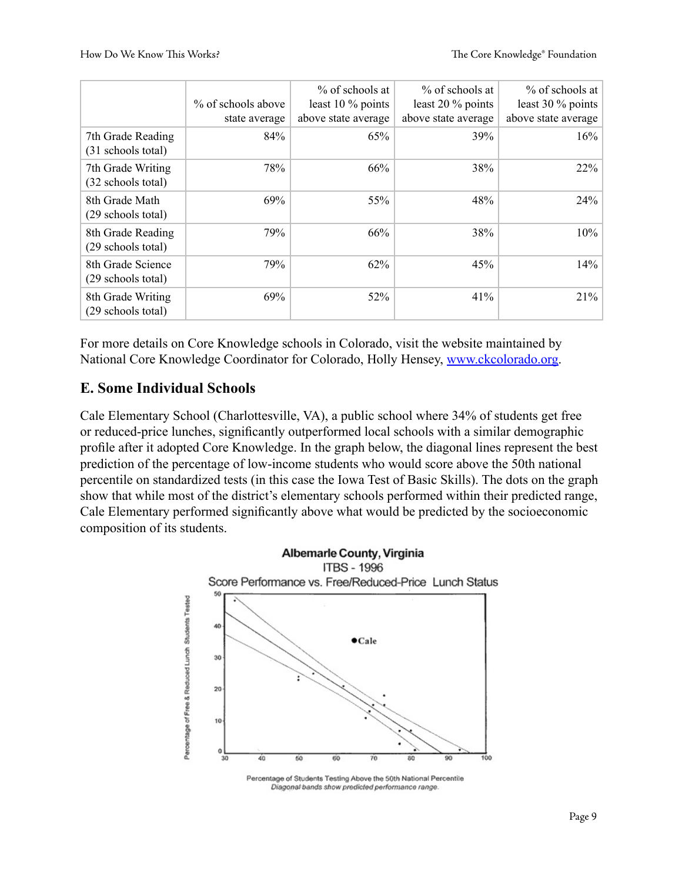|                                         | % of schools above<br>state average | $%$ of schools at<br>least 10 % points<br>above state average | % of schools at<br>least $20\%$ points<br>above state average | % of schools at<br>least 30 $%$ points<br>above state average |
|-----------------------------------------|-------------------------------------|---------------------------------------------------------------|---------------------------------------------------------------|---------------------------------------------------------------|
| 7th Grade Reading<br>(31 schools total) | 84%                                 | 65%                                                           | 39%                                                           | 16%                                                           |
| 7th Grade Writing<br>(32 schools total) | 78%                                 | 66%                                                           | 38%                                                           | 22%                                                           |
| 8th Grade Math<br>(29 schools total)    | 69%                                 | 55%                                                           | 48%                                                           | 24%                                                           |
| 8th Grade Reading<br>(29 schools total) | 79%                                 | 66%                                                           | 38%                                                           | 10%                                                           |
| 8th Grade Science<br>(29 schools total) | 79%                                 | 62%                                                           | 45%                                                           | 14%                                                           |
| 8th Grade Writing<br>(29 schools total) | 69%                                 | 52%                                                           | 41%                                                           | 21%                                                           |

For more details on Core Knowledge schools in Colorado, visit the website maintained by National Core Knowledge Coordinator for Colorado, Holly Hensey, [www.ckcolorado.org](http://www.ckcolorado.org/).

#### <span id="page-8-0"></span>**E. Some Individual Schools**

Cale Elementary School (Charlottesville, VA), a public school where 34% of students get free or reduced-price lunches, significantly outperformed local schools with a similar demographic profile after it adopted Core Knowledge. In the graph below, the diagonal lines represent the best prediction of the percentage of low-income students who would score above the 50th national percentile on standardized tests (in this case the Iowa Test of Basic Skills). The dots on the graph show that while most of the district's elementary schools performed within their predicted range, Cale Elementary performed significantly above what would be predicted by the socioeconomic composition of its students.



Percentage of Students Testing Above the 50th National Percentile Diagonal bands show predicted performance range.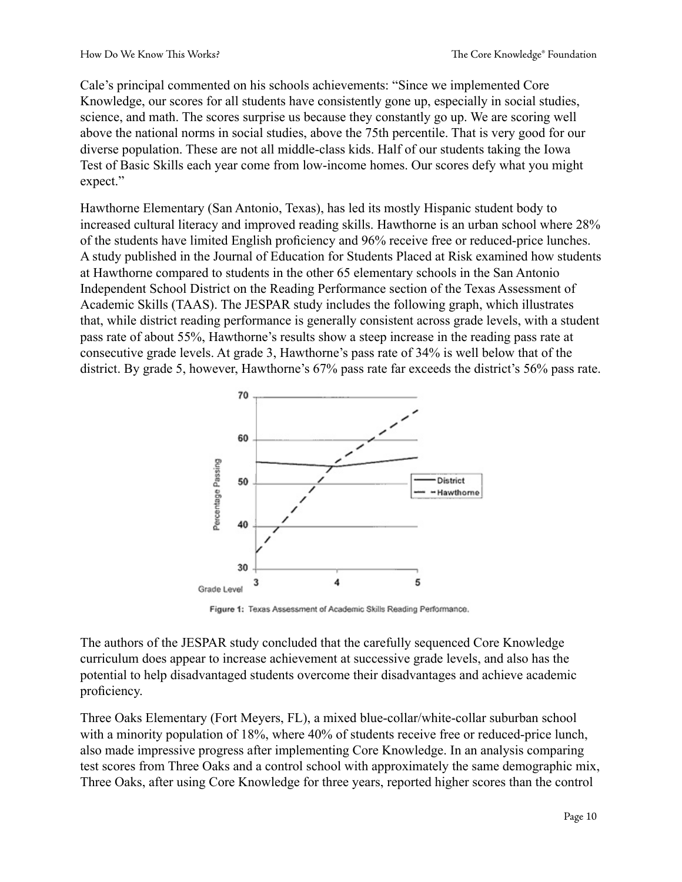Cale's principal commented on his schools achievements: "Since we implemented Core Knowledge, our scores for all students have consistently gone up, especially in social studies, science, and math. The scores surprise us because they constantly go up. We are scoring well above the national norms in social studies, above the 75th percentile. That is very good for our diverse population. These are not all middle-class kids. Half of our students taking the Iowa Test of Basic Skills each year come from low-income homes. Our scores defy what you might expect."

Hawthorne Elementary (San Antonio, Texas), has led its mostly Hispanic student body to increased cultural literacy and improved reading skills. Hawthorne is an urban school where 28% of the students have limited English proficiency and 96% receive free or reduced-price lunches. A study published in the Journal of Education for Students Placed at Risk examined how students at Hawthorne compared to students in the other 65 elementary schools in the San Antonio Independent School District on the Reading Performance section of the Texas Assessment of Academic Skills (TAAS). The JESPAR study includes the following graph, which illustrates that, while district reading performance is generally consistent across grade levels, with a student pass rate of about 55%, Hawthorne's results show a steep increase in the reading pass rate at consecutive grade levels. At grade 3, Hawthorne's pass rate of 34% is well below that of the district. By grade 5, however, Hawthorne's 67% pass rate far exceeds the district's 56% pass rate.



Figure 1: Texas Assessment of Academic Skills Reading Performance.

The authors of the JESPAR study concluded that the carefully sequenced Core Knowledge curriculum does appear to increase achievement at successive grade levels, and also has the potential to help disadvantaged students overcome their disadvantages and achieve academic proficiency.

Three Oaks Elementary (Fort Meyers, FL), a mixed blue-collar/white-collar suburban school with a minority population of 18%, where 40% of students receive free or reduced-price lunch, also made impressive progress after implementing Core Knowledge. In an analysis comparing test scores from Three Oaks and a control school with approximately the same demographic mix, Three Oaks, after using Core Knowledge for three years, reported higher scores than the control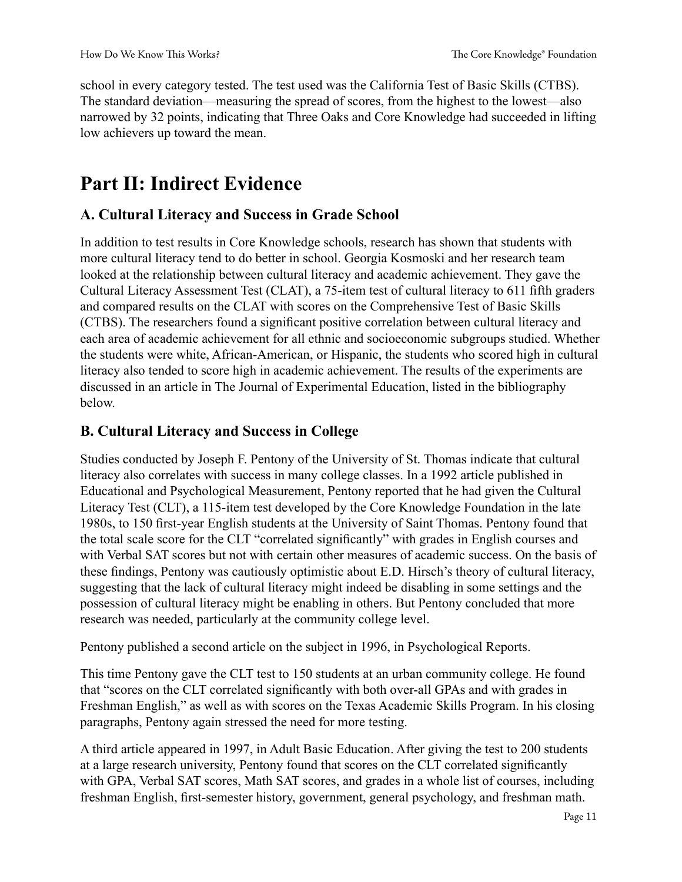school in every category tested. The test used was the California Test of Basic Skills (CTBS). The standard deviation—measuring the spread of scores, from the highest to the lowest—also narrowed by 32 points, indicating that Three Oaks and Core Knowledge had succeeded in lifting low achievers up toward the mean.

## <span id="page-10-0"></span>**Part II: Indirect Evidence**

#### <span id="page-10-1"></span>**A. Cultural Literacy and Success in Grade School**

In addition to test results in Core Knowledge schools, research has shown that students with more cultural literacy tend to do better in school. Georgia Kosmoski and her research team looked at the relationship between cultural literacy and academic achievement. They gave the Cultural Literacy Assessment Test (CLAT), a 75-item test of cultural literacy to 611 fifth graders and compared results on the CLAT with scores on the Comprehensive Test of Basic Skills (CTBS). The researchers found a significant positive correlation between cultural literacy and each area of academic achievement for all ethnic and socioeconomic subgroups studied. Whether the students were white, African-American, or Hispanic, the students who scored high in cultural literacy also tended to score high in academic achievement. The results of the experiments are discussed in an article in The Journal of Experimental Education, listed in the bibliography below.

#### <span id="page-10-2"></span>**B. Cultural Literacy and Success in College**

Studies conducted by Joseph F. Pentony of the University of St. Thomas indicate that cultural literacy also correlates with success in many college classes. In a 1992 article published in Educational and Psychological Measurement, Pentony reported that he had given the Cultural Literacy Test (CLT), a 115-item test developed by the Core Knowledge Foundation in the late 1980s, to 150 first-year English students at the University of Saint Thomas. Pentony found that the total scale score for the CLT "correlated significantly" with grades in English courses and with Verbal SAT scores but not with certain other measures of academic success. On the basis of these findings, Pentony was cautiously optimistic about E.D. Hirsch's theory of cultural literacy, suggesting that the lack of cultural literacy might indeed be disabling in some settings and the possession of cultural literacy might be enabling in others. But Pentony concluded that more research was needed, particularly at the community college level.

Pentony published a second article on the subject in 1996, in Psychological Reports.

This time Pentony gave the CLT test to 150 students at an urban community college. He found that "scores on the CLT correlated significantly with both over-all GPAs and with grades in Freshman English," as well as with scores on the Texas Academic Skills Program. In his closing paragraphs, Pentony again stressed the need for more testing.

A third article appeared in 1997, in Adult Basic Education. After giving the test to 200 students at a large research university, Pentony found that scores on the CLT correlated significantly with GPA, Verbal SAT scores, Math SAT scores, and grades in a whole list of courses, including freshman English, first-semester history, government, general psychology, and freshman math.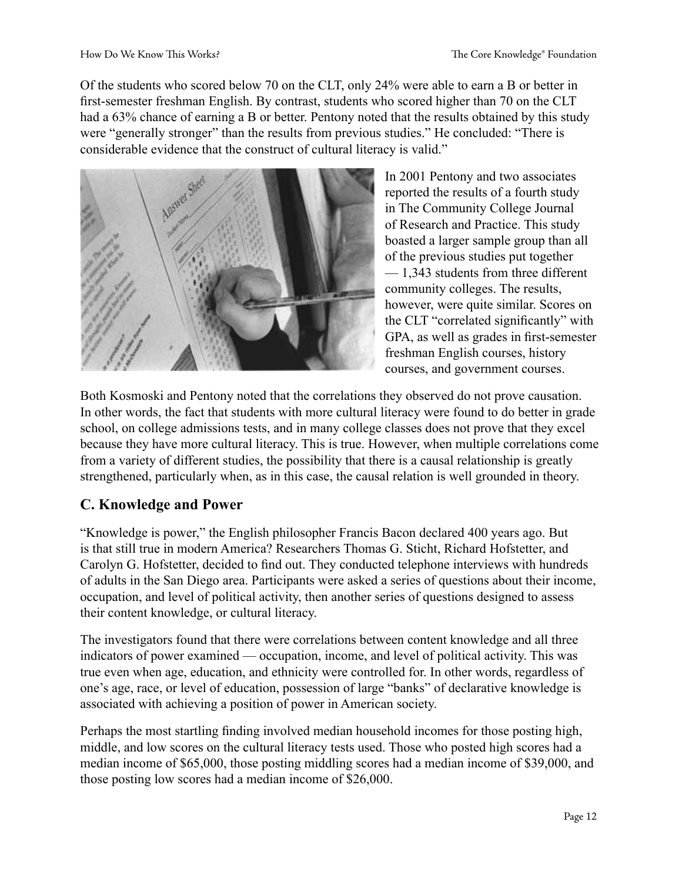Of the students who scored below 70 on the CLT, only 24% were able to earn a B or better in first-semester freshman English. By contrast, students who scored higher than 70 on the CLT had a 63% chance of earning a B or better. Pentony noted that the results obtained by this study were "generally stronger" than the results from previous studies." He concluded: "There is considerable evidence that the construct of cultural literacy is valid."



In 2001 Pentony and two associates reported the results of a fourth study in The Community College Journal of Research and Practice. This study boasted a larger sample group than all of the previous studies put together — 1,343 students from three different community colleges. The results, however, were quite similar. Scores on the CLT "correlated significantly" with GPA, as well as grades in first-semester freshman English courses, history courses, and government courses.

Both Kosmoski and Pentony noted that the correlations they observed do not prove causation. In other words, the fact that students with more cultural literacy were found to do better in grade school, on college admissions tests, and in many college classes does not prove that they excel because they have more cultural literacy. This is true. However, when multiple correlations come from a variety of different studies, the possibility that there is a causal relationship is greatly strengthened, particularly when, as in this case, the causal relation is well grounded in theory.

### <span id="page-11-0"></span>**C. Knowledge and Power**

"Knowledge is power," the English philosopher Francis Bacon declared 400 years ago. But is that still true in modern America? Researchers Thomas G. Sticht, Richard Hofstetter, and Carolyn G. Hofstetter, decided to find out. They conducted telephone interviews with hundreds of adults in the San Diego area. Participants were asked a series of questions about their income, occupation, and level of political activity, then another series of questions designed to assess their content knowledge, or cultural literacy.

The investigators found that there were correlations between content knowledge and all three indicators of power examined — occupation, income, and level of political activity. This was true even when age, education, and ethnicity were controlled for. In other words, regardless of one's age, race, or level of education, possession of large "banks" of declarative knowledge is associated with achieving a position of power in American society.

Perhaps the most startling finding involved median household incomes for those posting high, middle, and low scores on the cultural literacy tests used. Those who posted high scores had a median income of \$65,000, those posting middling scores had a median income of \$39,000, and those posting low scores had a median income of \$26,000.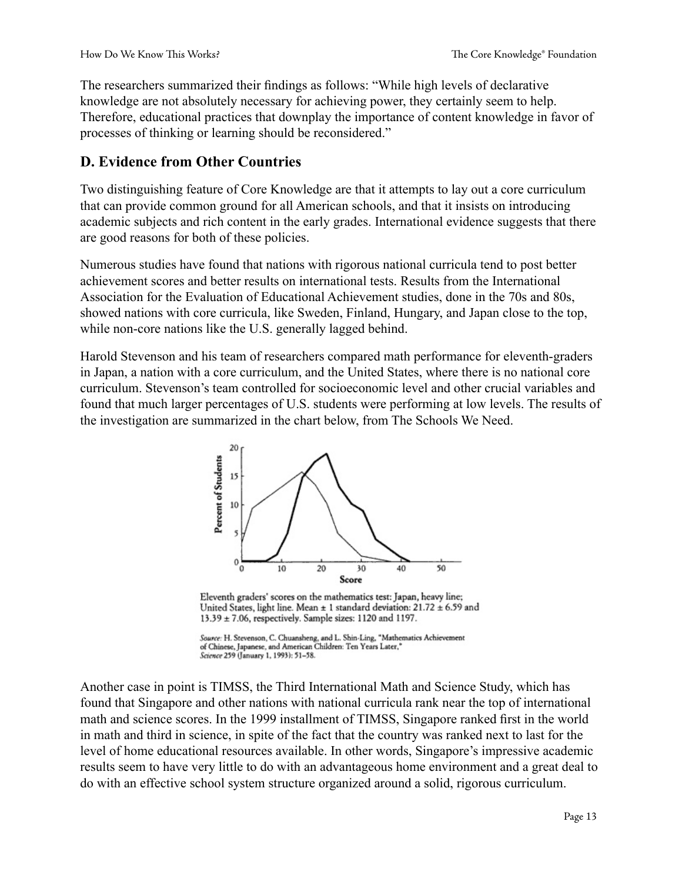The researchers summarized their findings as follows: "While high levels of declarative knowledge are not absolutely necessary for achieving power, they certainly seem to help. Therefore, educational practices that downplay the importance of content knowledge in favor of processes of thinking or learning should be reconsidered."

#### <span id="page-12-0"></span>**D. Evidence from Other Countries**

Two distinguishing feature of Core Knowledge are that it attempts to lay out a core curriculum that can provide common ground for all American schools, and that it insists on introducing academic subjects and rich content in the early grades. International evidence suggests that there are good reasons for both of these policies.

Numerous studies have found that nations with rigorous national curricula tend to post better achievement scores and better results on international tests. Results from the International Association for the Evaluation of Educational Achievement studies, done in the 70s and 80s, showed nations with core curricula, like Sweden, Finland, Hungary, and Japan close to the top, while non-core nations like the U.S. generally lagged behind.

Harold Stevenson and his team of researchers compared math performance for eleventh-graders in Japan, a nation with a core curriculum, and the United States, where there is no national core curriculum. Stevenson's team controlled for socioeconomic level and other crucial variables and found that much larger percentages of U.S. students were performing at low levels. The results of the investigation are summarized in the chart below, from The Schools We Need.



Eleventh graders' scores on the mathematics test: Japan, heavy line; United States, light line. Mean  $\pm$  1 standard deviation: 21.72  $\pm$  6.59 and 13.39 ± 7.06, respectively. Sample sizes: 1120 and 1197.

Source: H. Stevenson, C. Chuansheng, and L. Shin-Ling, "Mathematics Achievement<br>of Chinese, Japanese, and American Children: Ten Years Later," Science 259 (January 1, 1993): 51-58.

Another case in point is TIMSS, the Third International Math and Science Study, which has found that Singapore and other nations with national curricula rank near the top of international math and science scores. In the 1999 installment of TIMSS, Singapore ranked first in the world in math and third in science, in spite of the fact that the country was ranked next to last for the level of home educational resources available. In other words, Singapore's impressive academic results seem to have very little to do with an advantageous home environment and a great deal to do with an effective school system structure organized around a solid, rigorous curriculum.